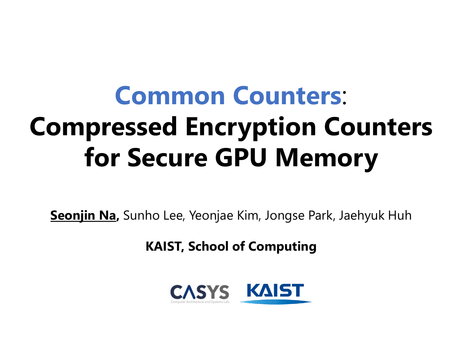# **Common Counters**: **Compressed Encryption Counters for Secure GPU Memory**

**Seonjin Na,** Sunho Lee, Yeonjae Kim, Jongse Park, Jaehyuk Huh

**KAIST, School of Computing** 

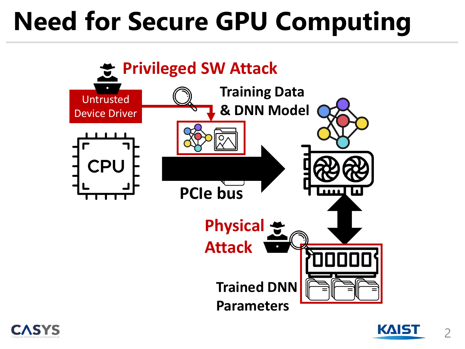# **Need for Secure GPU Computing**





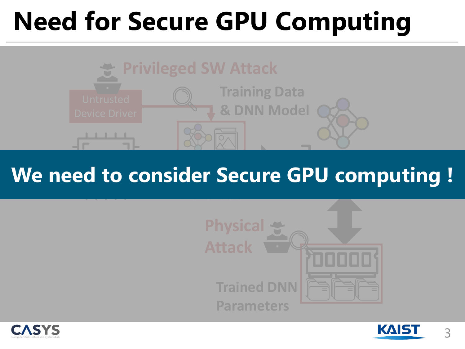# **Need for Secure GPU Computing**



#### **PCIe bus We need to consider Secure GPU computing !**





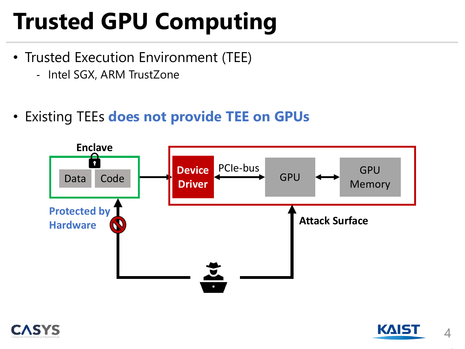# **Trusted GPU Computing**

- Trusted Execution Environment (TEE)
	- Intel SGX, ARM TrustZone
- Existing TEEs **does not provide TEE on GPUs**





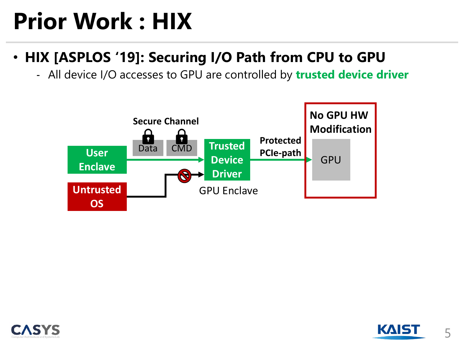# **Prior Work : HIX**

- **HIX [ASPLOS '19]: Securing I/O Path from CPU to GPU**
	- All device I/O accesses to GPU are controlled by **trusted device driver**





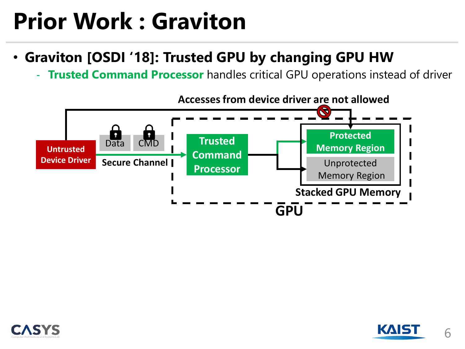# **Prior Work : Graviton**

- **Graviton [OSDI '18]: Trusted GPU by changing GPU HW**
	- **Trusted Command Processor** handles critical GPU operations instead of driver





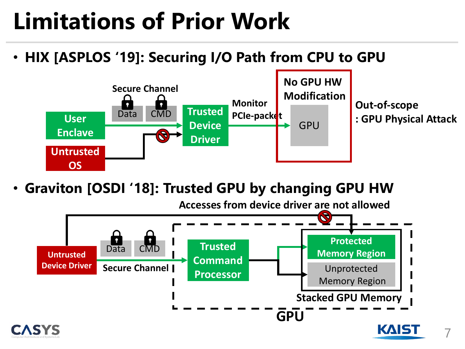# **Limitations of Prior Work**

• **HIX [ASPLOS '19]: Securing I/O Path from CPU to GPU**



• **Graviton [OSDI '18]: Trusted GPU by changing GPU HW**



7

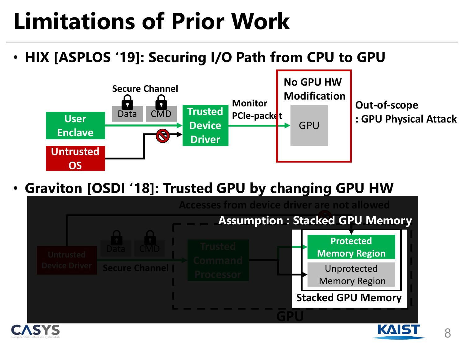# **Limitations of Prior Work**

• **HIX [ASPLOS '19]: Securing I/O Path from CPU to GPU**



• **Graviton [OSDI '18]: Trusted GPU by changing GPU HW**





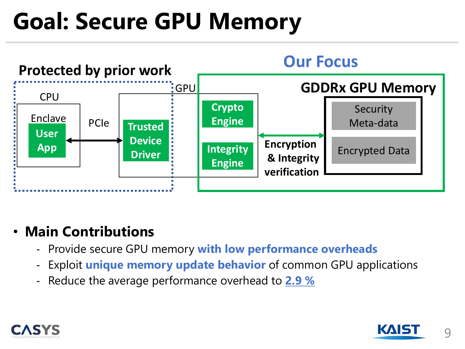## **Goal: Secure GPU Memory**



#### • **Main Contributions**

- Provide secure GPU memory **with low performance overheads**
- Exploit **unique memory update behavior** of common GPU applications
- Reduce the average performance overhead to **2.9 %**



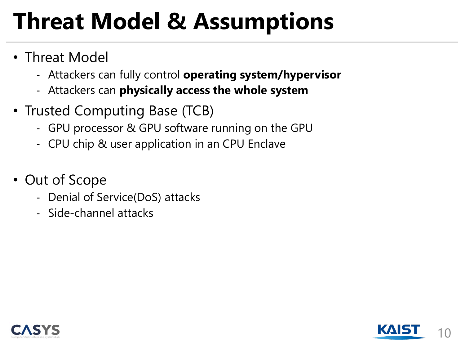# **Threat Model & Assumptions**

- Threat Model
	- Attackers can fully control **operating system/hypervisor**
	- Attackers can **physically access the whole system**
- Trusted Computing Base (TCB)
	- GPU processor & GPU software running on the GPU
	- CPU chip & user application in an CPU Enclave
- Out of Scope
	- Denial of Service(DoS) attacks
	- Side-channel attacks



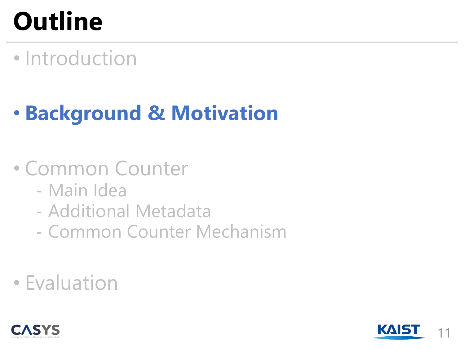# **Outline**

• Introduction

### • **Background & Motivation**

#### • Common Counter

- Main Idea
- Additional Metadata
- Common Counter Mechanism
- Evaluation



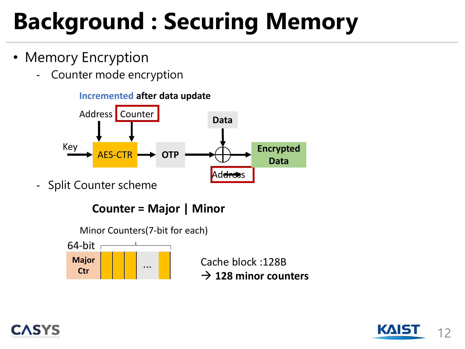# **Background : Securing Memory**

- Memory Encryption
	- Counter mode encryption



- Split Counter scheme







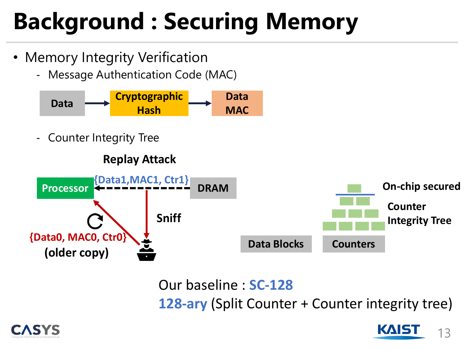# **Background : Securing Memory**

- Memory Integrity Verification
	- Message Authentication Code (MAC)



Counter Integrity Tree



Our baseline : **SC-128 128-ary** (Split Counter + Counter integrity tree)



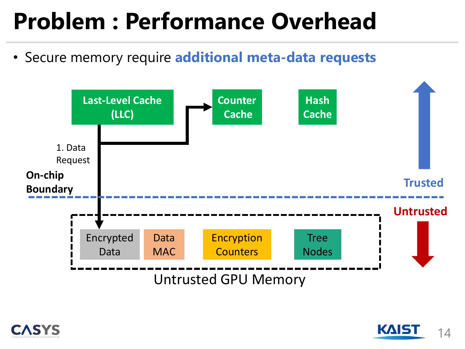## **Problem : Performance Overhead**

• Secure memory require **additional meta-data requests**





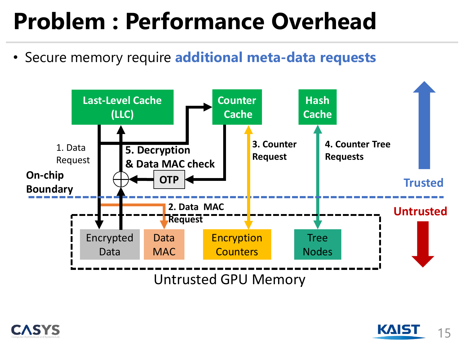## **Problem : Performance Overhead**

• Secure memory require **additional meta-data requests**





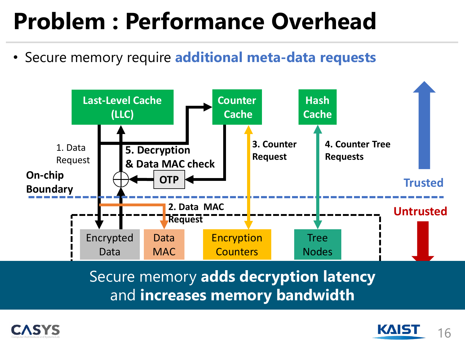## **Problem : Performance Overhead**

• Secure memory require **additional meta-data requests**



Secure memory adds decryption latency and **increases memory bandwidth** 



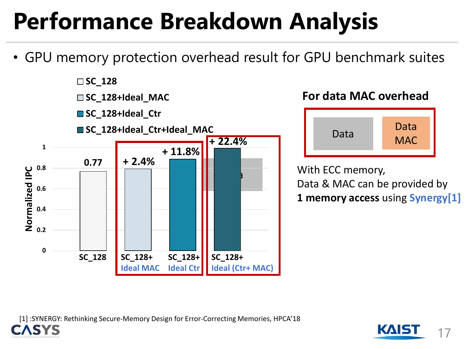# **Performance Breakdown Analysis**

• GPU memory protection overhead result for GPU benchmark suites



#### **For data MAC overhead**



With ECC memory, Data & MAC can be provided by **1 memory access** using **Synergy[1]**

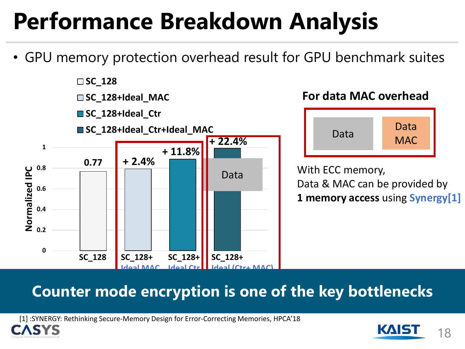# **Performance Breakdown Analysis**

• GPU memory protection overhead result for GPU benchmark suites



#### **For data MAC overhead**



With ECC memory, Data & MAC can be provided by **1 memory access** using **Synergy[1]**

#### **Counter mode encryption is one of the key bottlenecks**

[1] :SYNERGY: Rethinking Secure-Memory Design for Error-Correcting Memories, HPCA'18



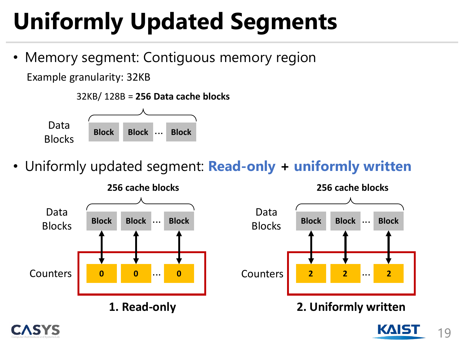# **Uniformly Updated Segments**

• Memory segment: Contiguous memory region

Example granularity: 32KB



• Uniformly updated segment: **Read-only + uniformly written**





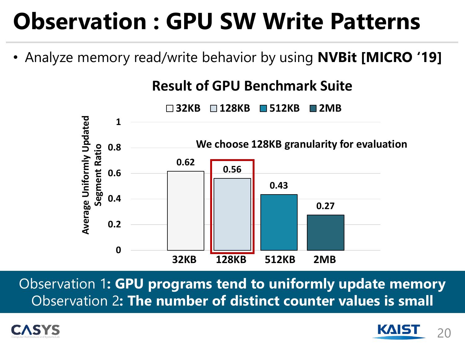## **Observation : GPU SW Write Patterns**

• Analyze memory read/write behavior by using **NVBit [MICRO '19]**



Observation 1**: GPU programs tend to uniformly update memory** Observation 2**: The number of distinct counter values is small** 

![](_page_19_Picture_4.jpeg)

![](_page_19_Picture_5.jpeg)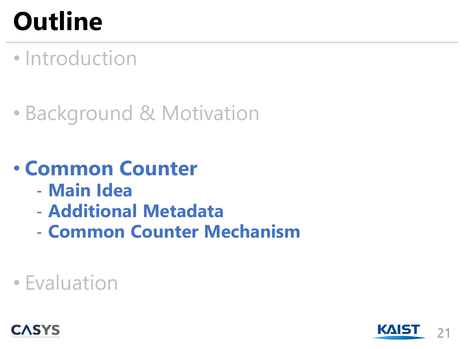# **Outline**

• Introduction

### • Background & Motivation

#### • **Common Counter**

- **Main Idea**
- **Additional Metadata**
- **Common Counter Mechanism**

#### • Evaluation

![](_page_20_Picture_8.jpeg)

![](_page_20_Picture_9.jpeg)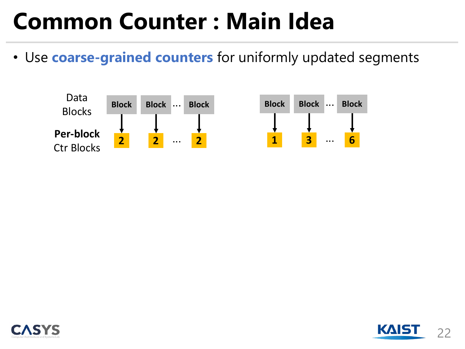## **Common Counter : Main Idea**

• Use **coarse-grained counters** for uniformly updated segments

![](_page_21_Figure_2.jpeg)

![](_page_21_Picture_3.jpeg)

![](_page_21_Picture_4.jpeg)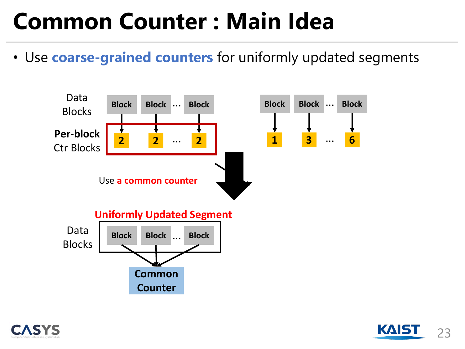# **Common Counter : Main Idea**

• Use **coarse-grained counters** for uniformly updated segments

![](_page_22_Figure_2.jpeg)

![](_page_22_Picture_3.jpeg)

![](_page_22_Picture_4.jpeg)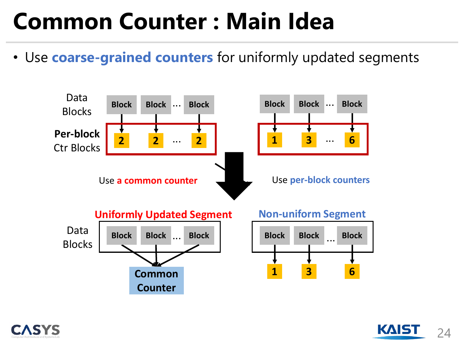# **Common Counter : Main Idea**

• Use **coarse-grained counters** for uniformly updated segments

![](_page_23_Figure_2.jpeg)

![](_page_23_Picture_3.jpeg)

![](_page_23_Picture_4.jpeg)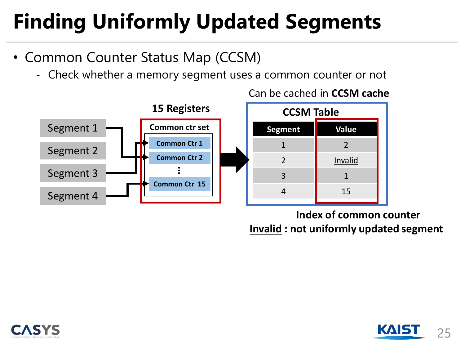### **Finding Uniformly Updated Segments**

- Common Counter Status Map (CCSM)
	- Check whether a memory segment uses a common counter or not

![](_page_24_Figure_3.jpeg)

Can be cached in **CCSM cache**

1 2 2 **I** Invalid 3 1 4 15 **CCSM Table**

**Index of common counter Invalid : not uniformly updated segment**

![](_page_24_Picture_7.jpeg)

![](_page_24_Picture_8.jpeg)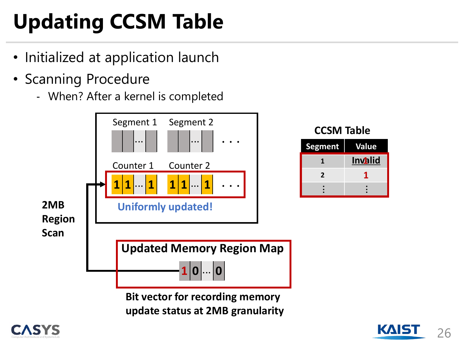# **Updating CCSM Table**

- Initialized at application launch
- Scanning Procedure
	- When? After a kernel is completed

![](_page_25_Figure_4.jpeg)

![](_page_25_Picture_5.jpeg)

![](_page_25_Picture_6.jpeg)

**1**

...

**2 0**

...

**Invalid 1**

**1**

**CCSM Table**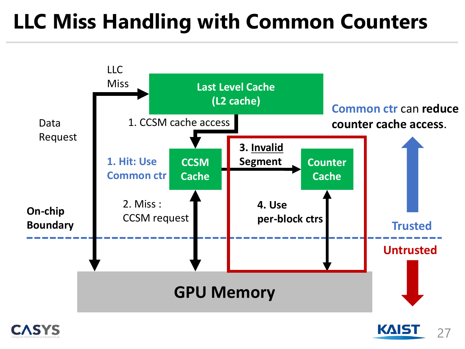### **LLC Miss Handling with Common Counters**

![](_page_26_Figure_1.jpeg)

![](_page_26_Picture_2.jpeg)

![](_page_26_Picture_3.jpeg)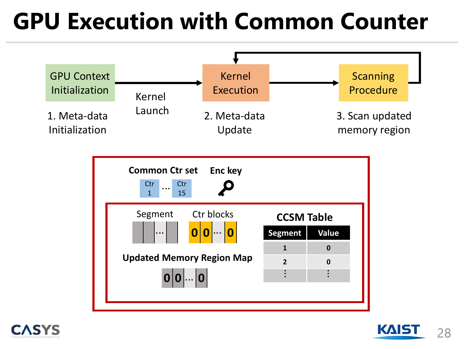## **GPU Execution with Common Counter**

![](_page_27_Figure_1.jpeg)

![](_page_27_Picture_2.jpeg)

![](_page_27_Picture_3.jpeg)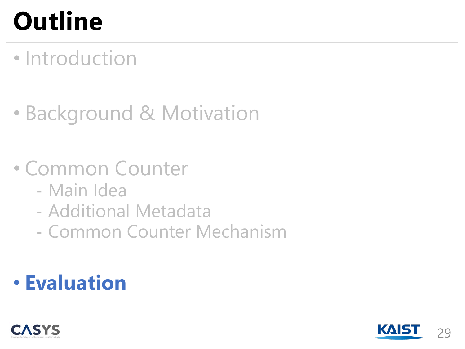# **Outline**

### • Introduction

### • Background & Motivation

#### • Common Counter

- Main Idea
- Additional Metadata
- Common Counter Mechanism

#### • **Evaluation**

![](_page_28_Picture_8.jpeg)

![](_page_28_Picture_9.jpeg)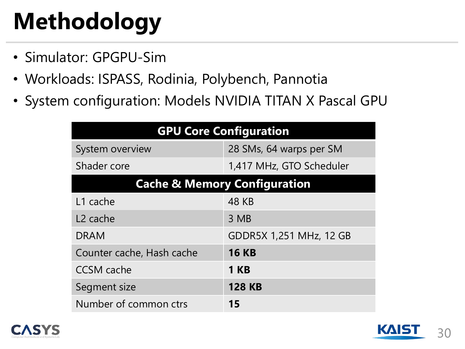# **Methodology**

- Simulator: GPGPU-Sim
- Workloads: ISPASS, Rodinia, Polybench, Pannotia
- System configuration: Models NVIDIA TITAN X Pascal GPU

| <b>GPU Core Configuration</b>           |                          |
|-----------------------------------------|--------------------------|
| System overview                         | 28 SMs, 64 warps per SM  |
| Shader core                             | 1,417 MHz, GTO Scheduler |
| <b>Cache &amp; Memory Configuration</b> |                          |
| L1 cache                                | <b>48 KB</b>             |
| L <sub>2</sub> cache                    | 3 MB                     |
| <b>DRAM</b>                             | GDDR5X 1,251 MHz, 12 GB  |
| Counter cache, Hash cache               | <b>16 KB</b>             |
| <b>CCSM</b> cache                       | <b>1 KB</b>              |
| Segment size                            | <b>128 KB</b>            |
| Number of common ctrs                   | 15                       |

![](_page_29_Picture_5.jpeg)

![](_page_29_Picture_6.jpeg)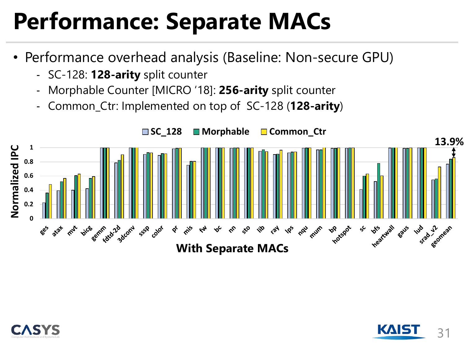# **Performance: Separate MACs**

- Performance overhead analysis (Baseline: Non-secure GPU)
	- SC-128: **128-arity** split counter
	- Morphable Counter [MICRO '18]: **256-arity** split counter
	- Common\_Ctr: Implemented on top of SC-128 (**128-arity**)

![](_page_30_Figure_5.jpeg)

![](_page_30_Picture_6.jpeg)

![](_page_30_Picture_7.jpeg)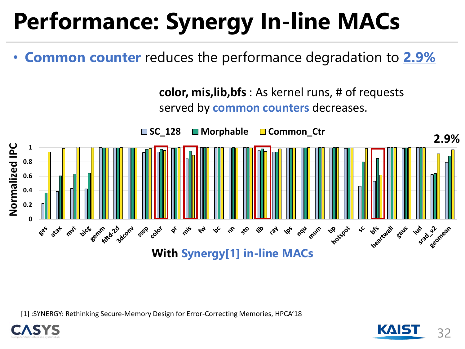# **Performance: Synergy In-line MACs**

• **Common counter** reduces the performance degradation to **2.9%**

![](_page_31_Figure_2.jpeg)

[1] :SYNERGY: Rethinking Secure-Memory Design for Error-Correcting Memories, HPCA'18

![](_page_31_Picture_4.jpeg)

![](_page_31_Picture_5.jpeg)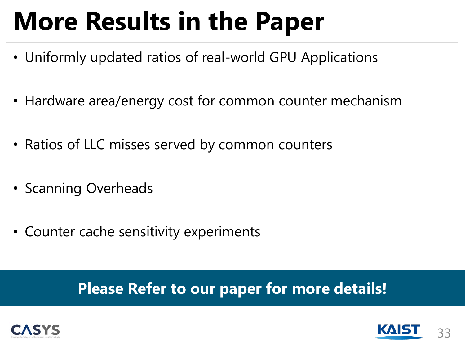# **More Results in the Paper**

- Uniformly updated ratios of real-world GPU Applications
- Hardware area/energy cost for common counter mechanism
- Ratios of LLC misses served by common counters
- Scanning Overheads
- Counter cache sensitivity experiments

#### **Please Refer to our paper for more details!**

![](_page_32_Picture_7.jpeg)

![](_page_32_Picture_8.jpeg)